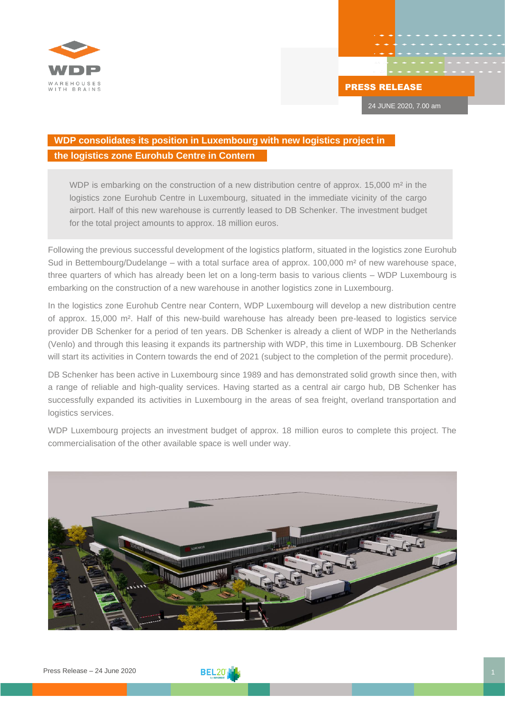

24 JUNE 2020, 7.00 am

## **WDP consolidates its position in Luxembourg with new logistics project in the logistics zone Eurohub Centre in Contern**

WDP is embarking on the construction of a new distribution centre of approx. 15,000 m<sup>2</sup> in the logistics zone Eurohub Centre in Luxembourg, situated in the immediate vicinity of the cargo airport. Half of this new warehouse is currently leased to DB Schenker. The investment budget for the total project amounts to approx. 18 million euros.

Following the previous successful development of the logistics platform, situated in the logistics zone Eurohub Sud in Bettembourg/Dudelange – with a total surface area of approx.  $100,000$  m<sup>2</sup> of new warehouse space, three quarters of which has already been let on a long-term basis to various clients – WDP Luxembourg is embarking on the construction of a new warehouse in another logistics zone in Luxembourg.

In the logistics zone Eurohub Centre near Contern, WDP Luxembourg will develop a new distribution centre of approx. 15,000 m². Half of this new-build warehouse has already been pre-leased to logistics service provider DB Schenker for a period of ten years. DB Schenker is already a client of WDP in the Netherlands (Venlo) and through this leasing it expands its partnership with WDP, this time in Luxembourg. DB Schenker will start its activities in Contern towards the end of 2021 (subject to the completion of the permit procedure).

DB Schenker has been active in Luxembourg since 1989 and has demonstrated solid growth since then, with a range of reliable and high-quality services. Having started as a central air cargo hub, DB Schenker has successfully expanded its activities in Luxembourg in the areas of sea freight, overland transportation and logistics services.

WDP Luxembourg projects an investment budget of approx. 18 million euros to complete this project. The commercialisation of the other available space is well under way.



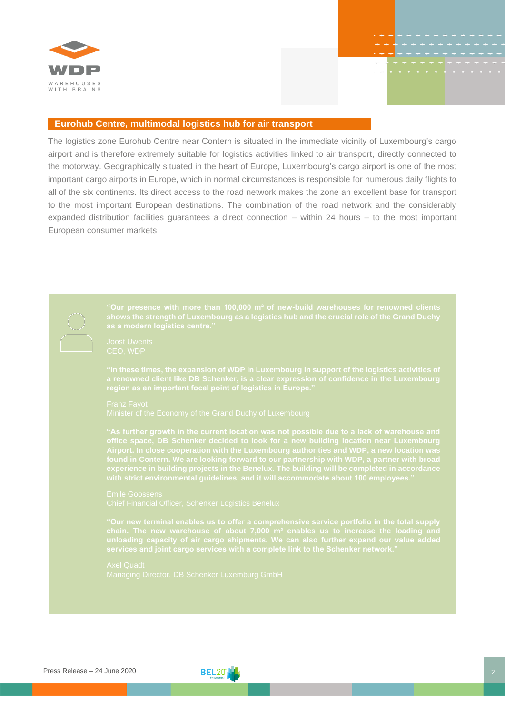

## **Eurohub Centre, multimodal logistics hub for air transport**

The logistics zone Eurohub Centre near Contern is situated in the immediate vicinity of Luxembourg's cargo airport and is therefore extremely suitable for logistics activities linked to air transport, directly connected to the motorway. Geographically situated in the heart of Europe, Luxembourg's cargo airport is one of the most important cargo airports in Europe, which in normal circumstances is responsible for numerous daily flights to all of the six continents. Its direct access to the road network makes the zone an excellent base for transport to the most important European destinations. The combination of the road network and the considerably expanded distribution facilities guarantees a direct connection – within 24 hours – to the most important European consumer markets.

**"Our presence with more than 100,000 m² of new-build warehouses for renowned clients shows the strength of Luxembourg as a logistics hub and the crucial role of the Grand Duchy "In these times, the expansion of WDP in Luxembourg in support of the logistics activities of a renowned client like DB Schenker, is a clear expression of confidence in the Luxembourg region as an important focal point of logistics in Europe." "As further growth in the current location was not possible due to a lack of warehouse and experience in building projects in the Benelux. The building will be completed in accordance "Our new terminal enables us to offer a comprehensive service portfolio in the total supply**